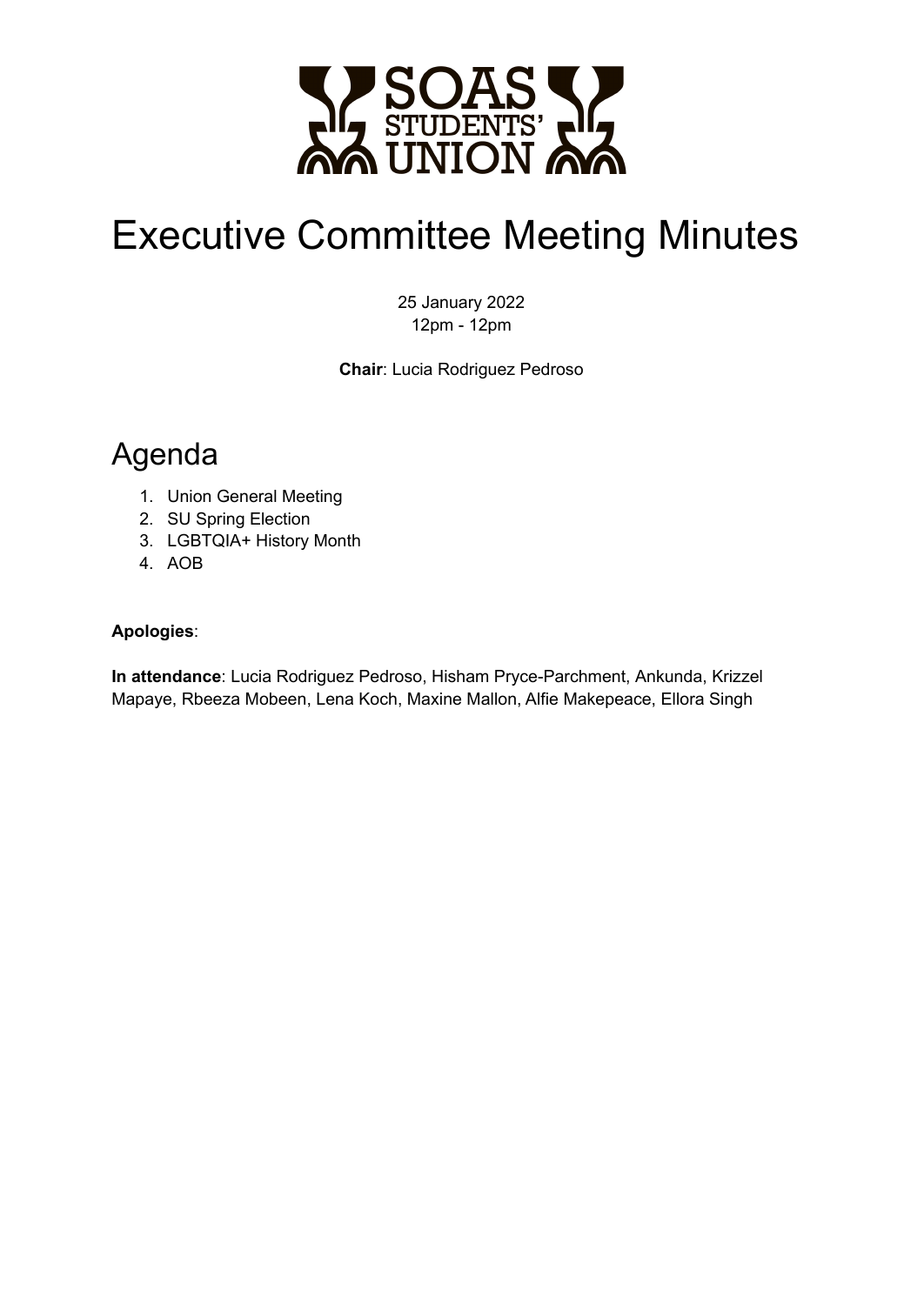

# Executive Committee Meeting Minutes

25 January 2022 12pm - 12pm

**Chair**: Lucia Rodriguez Pedroso

## Agenda

- 1. Union General Meeting
- 2. SU Spring Election
- 3. LGBTQIA+ History Month
- 4. AOB

#### **Apologies**:

**In attendance**: Lucia Rodriguez Pedroso, Hisham Pryce-Parchment, Ankunda, Krizzel Mapaye, Rbeeza Mobeen, Lena Koch, Maxine Mallon, Alfie Makepeace, Ellora Singh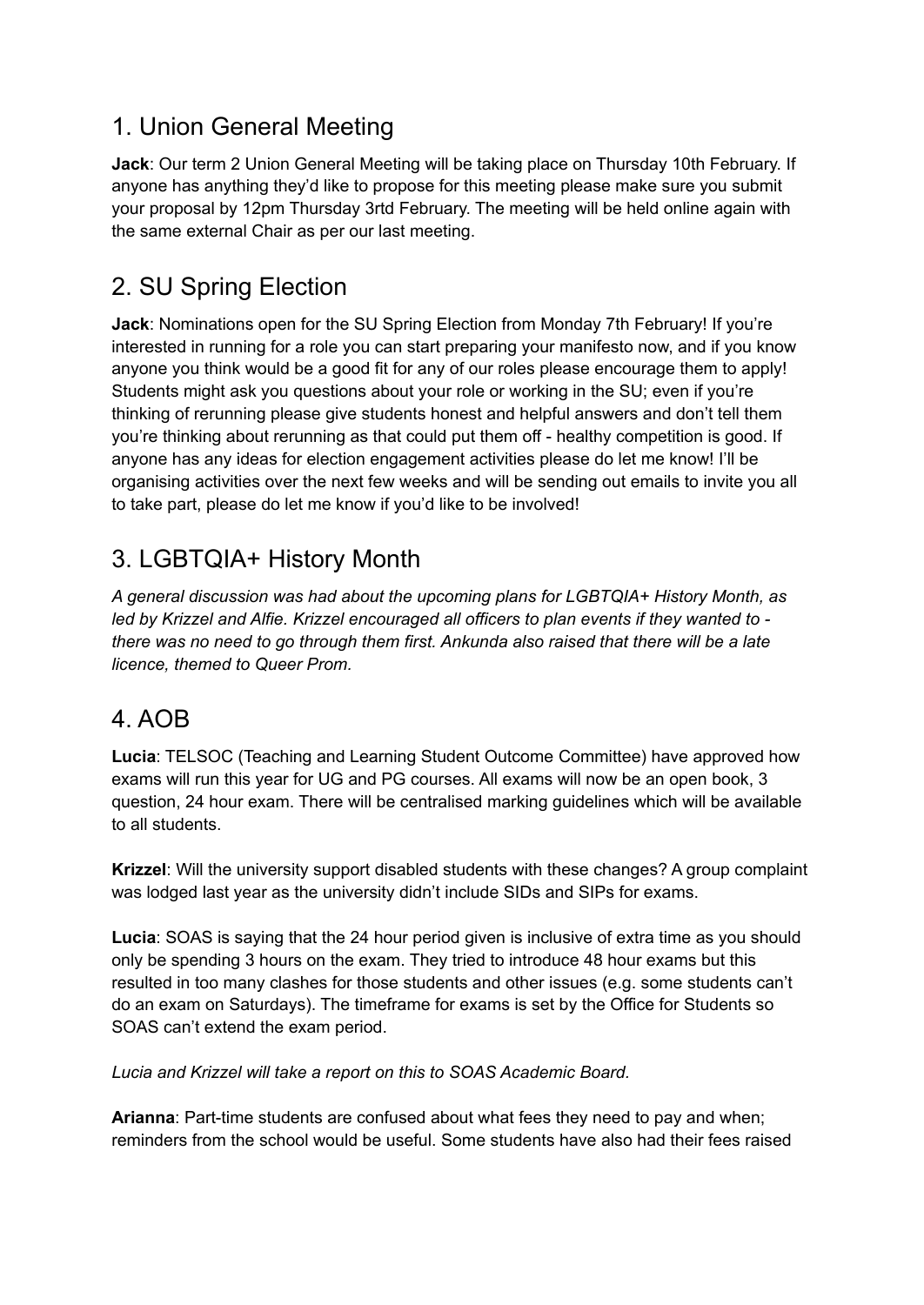#### 1. Union General Meeting

**Jack**: Our term 2 Union General Meeting will be taking place on Thursday 10th February. If anyone has anything they'd like to propose for this meeting please make sure you submit your proposal by 12pm Thursday 3rtd February. The meeting will be held online again with the same external Chair as per our last meeting.

### 2. SU Spring Election

**Jack**: Nominations open for the SU Spring Election from Monday 7th February! If you're interested in running for a role you can start preparing your manifesto now, and if you know anyone you think would be a good fit for any of our roles please encourage them to apply! Students might ask you questions about your role or working in the SU; even if you're thinking of rerunning please give students honest and helpful answers and don't tell them you're thinking about rerunning as that could put them off - healthy competition is good. If anyone has any ideas for election engagement activities please do let me know! I'll be organising activities over the next few weeks and will be sending out emails to invite you all to take part, please do let me know if you'd like to be involved!

#### 3. LGBTQIA+ History Month

*A general discussion was had about the upcoming plans for LGBTQIA+ History Month, as led by Krizzel and Alfie. Krizzel encouraged all officers to plan events if they wanted to there was no need to go through them first. Ankunda also raised that there will be a late licence, themed to Queer Prom.*

#### 4. AOB

**Lucia**: TELSOC (Teaching and Learning Student Outcome Committee) have approved how exams will run this year for UG and PG courses. All exams will now be an open book, 3 question, 24 hour exam. There will be centralised marking guidelines which will be available to all students.

**Krizzel**: Will the university support disabled students with these changes? A group complaint was lodged last year as the university didn't include SIDs and SIPs for exams.

**Lucia**: SOAS is saying that the 24 hour period given is inclusive of extra time as you should only be spending 3 hours on the exam. They tried to introduce 48 hour exams but this resulted in too many clashes for those students and other issues (e.g. some students can't do an exam on Saturdays). The timeframe for exams is set by the Office for Students so SOAS can't extend the exam period.

*Lucia and Krizzel will take a report on this to SOAS Academic Board.*

**Arianna**: Part-time students are confused about what fees they need to pay and when; reminders from the school would be useful. Some students have also had their fees raised